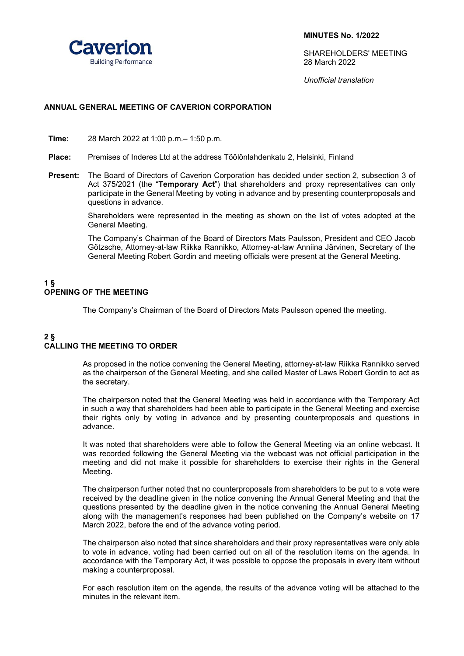

SHARFHOLDERS' MEETING 28 March 2022

*Unofficial translation*

## **ANNUAL GENERAL MEETING OF CAVERION CORPORATION**

**Time:** 28 March 2022 at 1:00 p.m.– 1:50 p.m.

- **Place:** Premises of Inderes Ltd at the address Töölönlahdenkatu 2, Helsinki, Finland
- **Present:** The Board of Directors of Caverion Corporation has decided under section 2, subsection 3 of Act 375/2021 (the "**Temporary Act**") that shareholders and proxy representatives can only participate in the General Meeting by voting in advance and by presenting counterproposals and questions in advance.

Shareholders were represented in the meeting as shown on the list of votes adopted at the General Meeting.

The Company's Chairman of the Board of Directors Mats Paulsson, President and CEO Jacob Götzsche, Attorney-at-law Riikka Rannikko, Attorney-at-law Anniina Järvinen, Secretary of the General Meeting Robert Gordin and meeting officials were present at the General Meeting.

## **1 § OPENING OF THE MEETING**

The Company's Chairman of the Board of Directors Mats Paulsson opened the meeting.

## **2 § CALLING THE MEETING TO ORDER**

As proposed in the notice convening the General Meeting, attorney-at-law Riikka Rannikko served as the chairperson of the General Meeting, and she called Master of Laws Robert Gordin to act as the secretary.

The chairperson noted that the General Meeting was held in accordance with the Temporary Act in such a way that shareholders had been able to participate in the General Meeting and exercise their rights only by voting in advance and by presenting counterproposals and questions in advance.

It was noted that shareholders were able to follow the General Meeting via an online webcast. It was recorded following the General Meeting via the webcast was not official participation in the meeting and did not make it possible for shareholders to exercise their rights in the General Meeting.

The chairperson further noted that no counterproposals from shareholders to be put to a vote were received by the deadline given in the notice convening the Annual General Meeting and that the questions presented by the deadline given in the notice convening the Annual General Meeting along with the management's responses had been published on the Company's website on 17 March 2022, before the end of the advance voting period.

The chairperson also noted that since shareholders and their proxy representatives were only able to vote in advance, voting had been carried out on all of the resolution items on the agenda. In accordance with the Temporary Act, it was possible to oppose the proposals in every item without making a counterproposal.

For each resolution item on the agenda, the results of the advance voting will be attached to the minutes in the relevant item.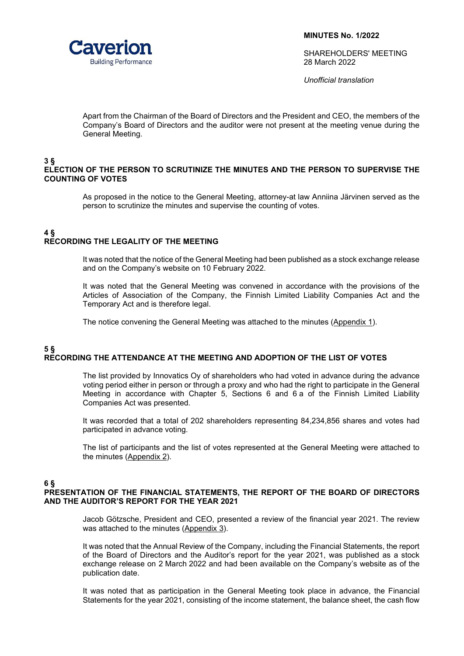

SHAREHOLDERS' MEETING 28 March 2022

*Unofficial translation*

Apart from the Chairman of the Board of Directors and the President and CEO, the members of the Company's Board of Directors and the auditor were not present at the meeting venue during the General Meeting.

# **3 §**

## **ELECTION OF THE PERSON TO SCRUTINIZE THE MINUTES AND THE PERSON TO SUPERVISE THE COUNTING OF VOTES**

As proposed in the notice to the General Meeting, attorney-at law Anniina Järvinen served as the person to scrutinize the minutes and supervise the counting of votes.

## **4 § RECORDING THE LEGALITY OF THE MEETING**

It was noted that the notice of the General Meeting had been published as a stock exchange release and on the Company's website on 10 February 2022.

It was noted that the General Meeting was convened in accordance with the provisions of the Articles of Association of the Company, the Finnish Limited Liability Companies Act and the Temporary Act and is therefore legal.

The notice convening the General Meeting was attached to the minutes (Appendix 1).

### **5 § RECORDING THE ATTENDANCE AT THE MEETING AND ADOPTION OF THE LIST OF VOTES**

The list provided by Innovatics Oy of shareholders who had voted in advance during the advance voting period either in person or through a proxy and who had the right to participate in the General Meeting in accordance with Chapter 5, Sections 6 and 6 a of the Finnish Limited Liability Companies Act was presented.

It was recorded that a total of 202 shareholders representing 84,234,856 shares and votes had participated in advance voting.

The list of participants and the list of votes represented at the General Meeting were attached to the minutes (Appendix 2).

#### **6 § PRESENTATION OF THE FINANCIAL STATEMENTS, THE REPORT OF THE BOARD OF DIRECTORS AND THE AUDITOR'S REPORT FOR THE YEAR 2021**

Jacob Götzsche, President and CEO, presented a review of the financial year 2021. The review was attached to the minutes (Appendix 3).

It was noted that the Annual Review of the Company, including the Financial Statements, the report of the Board of Directors and the Auditor's report for the year 2021, was published as a stock exchange release on 2 March 2022 and had been available on the Company's website as of the publication date.

It was noted that as participation in the General Meeting took place in advance, the Financial Statements for the year 2021, consisting of the income statement, the balance sheet, the cash flow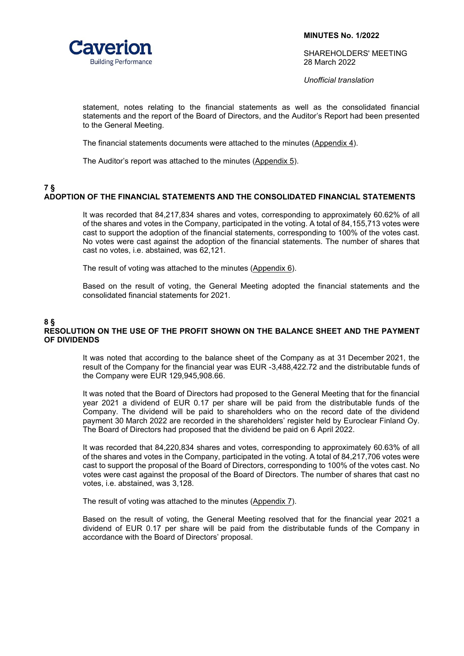

SHAREHOLDERS' MEETING 28 March 2022

*Unofficial translation*

statement, notes relating to the financial statements as well as the consolidated financial statements and the report of the Board of Directors, and the Auditor's Report had been presented to the General Meeting.

The financial statements documents were attached to the minutes (Appendix 4).

The Auditor's report was attached to the minutes (Appendix 5).

## **7 § ADOPTION OF THE FINANCIAL STATEMENTS AND THE CONSOLIDATED FINANCIAL STATEMENTS**

It was recorded that 84,217,834 shares and votes, corresponding to approximately 60.62% of all of the shares and votes in the Company, participated in the voting. A total of 84,155,713 votes were cast to support the adoption of the financial statements, corresponding to 100% of the votes cast. No votes were cast against the adoption of the financial statements. The number of shares that cast no votes, i.e. abstained, was 62,121.

The result of voting was attached to the minutes (Appendix 6).

Based on the result of voting, the General Meeting adopted the financial statements and the consolidated financial statements for 2021.

### **8 § RESOLUTION ON THE USE OF THE PROFIT SHOWN ON THE BALANCE SHEET AND THE PAYMENT OF DIVIDENDS**

It was noted that according to the balance sheet of the Company as at 31 December 2021, the result of the Company for the financial year was EUR -3,488,422.72 and the distributable funds of the Company were EUR 129,945,908.66.

It was noted that the Board of Directors had proposed to the General Meeting that for the financial year 2021 a dividend of EUR 0.17 per share will be paid from the distributable funds of the Company. The dividend will be paid to shareholders who on the record date of the dividend payment 30 March 2022 are recorded in the shareholders' register held by Euroclear Finland Oy. The Board of Directors had proposed that the dividend be paid on 6 April 2022.

It was recorded that 84,220,834 shares and votes, corresponding to approximately 60.63% of all of the shares and votes in the Company, participated in the voting. A total of 84,217,706 votes were cast to support the proposal of the Board of Directors, corresponding to 100% of the votes cast. No votes were cast against the proposal of the Board of Directors. The number of shares that cast no votes, i.e. abstained, was 3,128.

The result of voting was attached to the minutes (Appendix 7).

Based on the result of voting, the General Meeting resolved that for the financial year 2021 a dividend of EUR 0.17 per share will be paid from the distributable funds of the Company in accordance with the Board of Directors' proposal.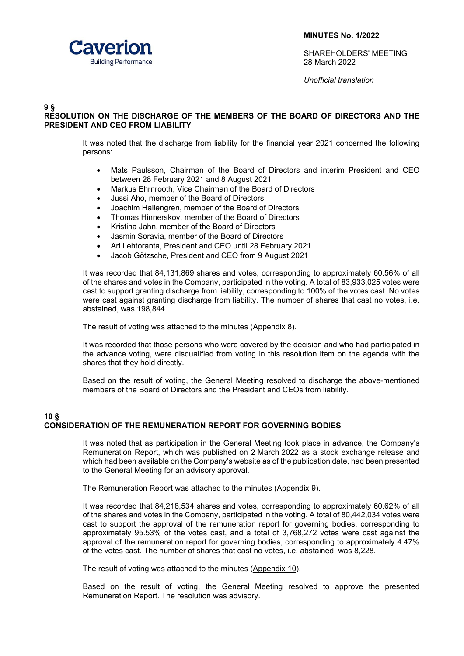

SHARFHOLDERS' MEETING 28 March 2022

*Unofficial translation*

# **9 §**

## **RESOLUTION ON THE DISCHARGE OF THE MEMBERS OF THE BOARD OF DIRECTORS AND THE PRESIDENT AND CEO FROM LIABILITY**

It was noted that the discharge from liability for the financial year 2021 concerned the following persons:

- Mats Paulsson, Chairman of the Board of Directors and interim President and CEO between 28 February 2021 and 8 August 2021
- Markus Ehrnrooth, Vice Chairman of the Board of Directors
- Jussi Aho, member of the Board of Directors
- Joachim Hallengren, member of the Board of Directors
- Thomas Hinnerskov, member of the Board of Directors
- Kristina Jahn, member of the Board of Directors
- Jasmin Soravia, member of the Board of Directors
- Ari Lehtoranta, President and CEO until 28 February 2021
- Jacob Götzsche, President and CEO from 9 August 2021

It was recorded that 84,131,869 shares and votes, corresponding to approximately 60.56% of all of the shares and votes in the Company, participated in the voting. A total of 83,933,025 votes were cast to support granting discharge from liability, corresponding to 100% of the votes cast. No votes were cast against granting discharge from liability. The number of shares that cast no votes, i.e. abstained, was 198,844.

The result of voting was attached to the minutes (Appendix 8).

It was recorded that those persons who were covered by the decision and who had participated in the advance voting, were disqualified from voting in this resolution item on the agenda with the shares that they hold directly.

Based on the result of voting, the General Meeting resolved to discharge the above-mentioned members of the Board of Directors and the President and CEOs from liability.

### **10 § CONSIDERATION OF THE REMUNERATION REPORT FOR GOVERNING BODIES**

It was noted that as participation in the General Meeting took place in advance, the Company's Remuneration Report, which was published on 2 March 2022 as a stock exchange release and which had been available on the Company's website as of the publication date, had been presented to the General Meeting for an advisory approval.

The Remuneration Report was attached to the minutes (Appendix 9).

It was recorded that 84,218,534 shares and votes, corresponding to approximately 60.62% of all of the shares and votes in the Company, participated in the voting. A total of 80,442,034 votes were cast to support the approval of the remuneration report for governing bodies, corresponding to approximately 95.53% of the votes cast, and a total of 3,768,272 votes were cast against the approval of the remuneration report for governing bodies, corresponding to approximately 4.47% of the votes cast. The number of shares that cast no votes, i.e. abstained, was 8,228.

The result of voting was attached to the minutes (Appendix 10).

Based on the result of voting, the General Meeting resolved to approve the presented Remuneration Report. The resolution was advisory.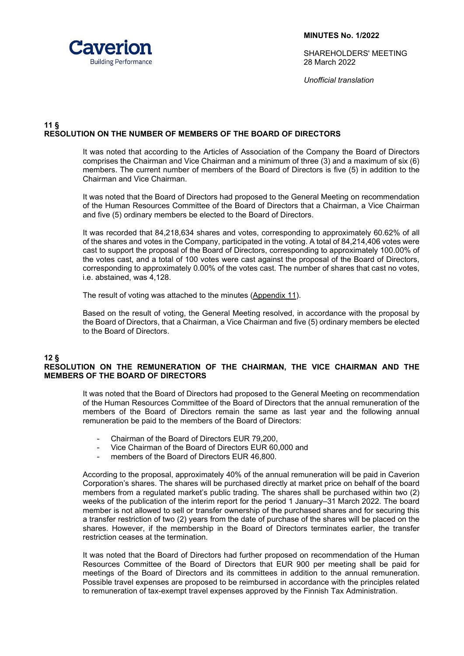

SHAREHOLDERS' MEETING 28 March 2022

*Unofficial translation*

## **11 § RESOLUTION ON THE NUMBER OF MEMBERS OF THE BOARD OF DIRECTORS**

It was noted that according to the Articles of Association of the Company the Board of Directors comprises the Chairman and Vice Chairman and a minimum of three (3) and a maximum of six (6) members. The current number of members of the Board of Directors is five (5) in addition to the Chairman and Vice Chairman.

It was noted that the Board of Directors had proposed to the General Meeting on recommendation of the Human Resources Committee of the Board of Directors that a Chairman, a Vice Chairman and five (5) ordinary members be elected to the Board of Directors.

It was recorded that 84,218,634 shares and votes, corresponding to approximately 60.62% of all of the shares and votes in the Company, participated in the voting. A total of 84,214,406 votes were cast to support the proposal of the Board of Directors, corresponding to approximately 100.00% of the votes cast, and a total of 100 votes were cast against the proposal of the Board of Directors, corresponding to approximately 0.00% of the votes cast. The number of shares that cast no votes, i.e. abstained, was 4,128.

The result of voting was attached to the minutes (Appendix 11).

Based on the result of voting, the General Meeting resolved, in accordance with the proposal by the Board of Directors, that a Chairman, a Vice Chairman and five (5) ordinary members be elected to the Board of Directors.

## **12 §**

## **RESOLUTION ON THE REMUNERATION OF THE CHAIRMAN, THE VICE CHAIRMAN AND THE MEMBERS OF THE BOARD OF DIRECTORS**

It was noted that the Board of Directors had proposed to the General Meeting on recommendation of the Human Resources Committee of the Board of Directors that the annual remuneration of the members of the Board of Directors remain the same as last year and the following annual remuneration be paid to the members of the Board of Directors:

- Chairman of the Board of Directors EUR 79,200,<br>- Vice Chairman of the Board of Directors EUR 60
- Vice Chairman of the Board of Directors EUR 60,000 and<br>- members of the Board of Directors EUP 46,800
- members of the Board of Directors EUR 46,800.

According to the proposal, approximately 40% of the annual remuneration will be paid in Caverion Corporation's shares. The shares will be purchased directly at market price on behalf of the board members from a regulated market's public trading. The shares shall be purchased within two (2) weeks of the publication of the interim report for the period 1 January–31 March 2022. The board member is not allowed to sell or transfer ownership of the purchased shares and for securing this a transfer restriction of two (2) years from the date of purchase of the shares will be placed on the shares. However, if the membership in the Board of Directors terminates earlier, the transfer restriction ceases at the termination.

It was noted that the Board of Directors had further proposed on recommendation of the Human Resources Committee of the Board of Directors that EUR 900 per meeting shall be paid for meetings of the Board of Directors and its committees in addition to the annual remuneration. Possible travel expenses are proposed to be reimbursed in accordance with the principles related to remuneration of tax-exempt travel expenses approved by the Finnish Tax Administration.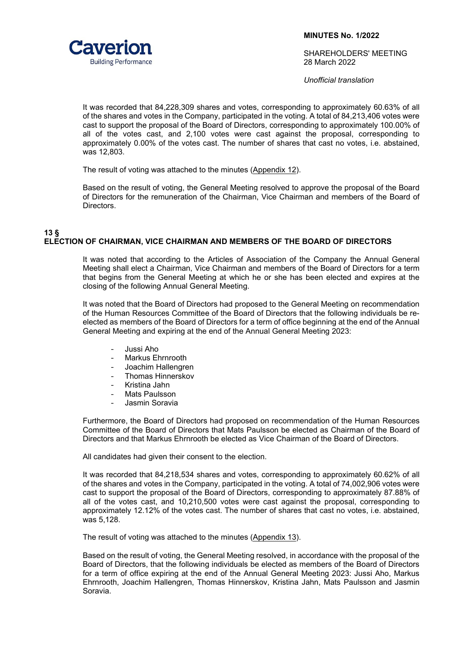

SHARFHOLDERS' MEETING 28 March 2022

*Unofficial translation*

It was recorded that 84,228,309 shares and votes, corresponding to approximately 60.63% of all of the shares and votes in the Company, participated in the voting. A total of 84,213,406 votes were cast to support the proposal of the Board of Directors, corresponding to approximately 100.00% of all of the votes cast, and 2,100 votes were cast against the proposal, corresponding to approximately 0.00% of the votes cast. The number of shares that cast no votes, i.e. abstained, was 12,803.

The result of voting was attached to the minutes (Appendix 12).

Based on the result of voting, the General Meeting resolved to approve the proposal of the Board of Directors for the remuneration of the Chairman, Vice Chairman and members of the Board of Directors.

## **13 § ELECTION OF CHAIRMAN, VICE CHAIRMAN AND MEMBERS OF THE BOARD OF DIRECTORS**

It was noted that according to the Articles of Association of the Company the Annual General Meeting shall elect a Chairman, Vice Chairman and members of the Board of Directors for a term that begins from the General Meeting at which he or she has been elected and expires at the closing of the following Annual General Meeting.

It was noted that the Board of Directors had proposed to the General Meeting on recommendation of the Human Resources Committee of the Board of Directors that the following individuals be reelected as members of the Board of Directors for a term of office beginning at the end of the Annual General Meeting and expiring at the end of the Annual General Meeting 2023:

- Jussi Aho
- Markus Ehrnrooth
- Joachim Hallengren
- Thomas Hinnerskov
- Kristina Jahn
- Mats Paulsson
- Jasmin Soravia

Furthermore, the Board of Directors had proposed on recommendation of the Human Resources Committee of the Board of Directors that Mats Paulsson be elected as Chairman of the Board of Directors and that Markus Ehrnrooth be elected as Vice Chairman of the Board of Directors.

All candidates had given their consent to the election.

It was recorded that 84,218,534 shares and votes, corresponding to approximately 60.62% of all of the shares and votes in the Company, participated in the voting. A total of 74,002,906 votes were cast to support the proposal of the Board of Directors, corresponding to approximately 87.88% of all of the votes cast, and 10,210,500 votes were cast against the proposal, corresponding to approximately 12.12% of the votes cast. The number of shares that cast no votes, i.e. abstained, was 5,128.

The result of voting was attached to the minutes (Appendix 13).

Based on the result of voting, the General Meeting resolved, in accordance with the proposal of the Board of Directors, that the following individuals be elected as members of the Board of Directors for a term of office expiring at the end of the Annual General Meeting 2023: Jussi Aho, Markus Ehrnrooth, Joachim Hallengren, Thomas Hinnerskov, Kristina Jahn, Mats Paulsson and Jasmin Soravia.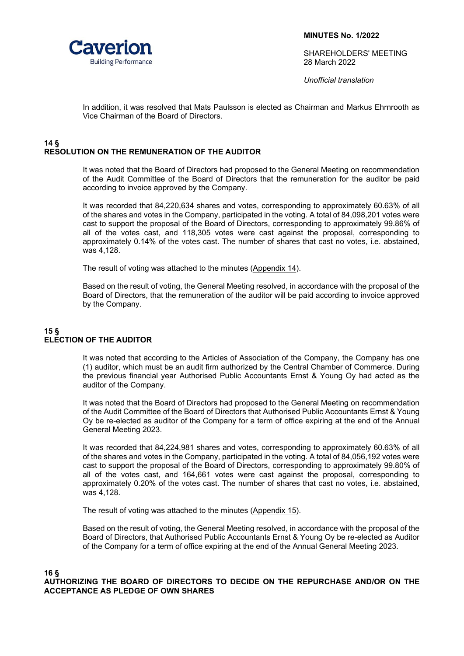

SHARFHOLDERS' MEETING 28 March 2022

*Unofficial translation*

In addition, it was resolved that Mats Paulsson is elected as Chairman and Markus Ehrnrooth as Vice Chairman of the Board of Directors.

### **14 § RESOLUTION ON THE REMUNERATION OF THE AUDITOR**

It was noted that the Board of Directors had proposed to the General Meeting on recommendation of the Audit Committee of the Board of Directors that the remuneration for the auditor be paid according to invoice approved by the Company.

It was recorded that 84,220,634 shares and votes, corresponding to approximately 60.63% of all of the shares and votes in the Company, participated in the voting. A total of 84,098,201 votes were cast to support the proposal of the Board of Directors, corresponding to approximately 99.86% of all of the votes cast, and 118,305 votes were cast against the proposal, corresponding to approximately 0.14% of the votes cast. The number of shares that cast no votes, i.e. abstained, was 4,128.

The result of voting was attached to the minutes (Appendix 14).

Based on the result of voting, the General Meeting resolved, in accordance with the proposal of the Board of Directors, that the remuneration of the auditor will be paid according to invoice approved by the Company.

## **15 § ELECTION OF THE AUDITOR**

It was noted that according to the Articles of Association of the Company, the Company has one (1) auditor, which must be an audit firm authorized by the Central Chamber of Commerce. During the previous financial year Authorised Public Accountants Ernst & Young Oy had acted as the auditor of the Company.

It was noted that the Board of Directors had proposed to the General Meeting on recommendation of the Audit Committee of the Board of Directors that Authorised Public Accountants Ernst & Young Oy be re-elected as auditor of the Company for a term of office expiring at the end of the Annual General Meeting 2023.

It was recorded that 84,224,981 shares and votes, corresponding to approximately 60.63% of all of the shares and votes in the Company, participated in the voting. A total of 84,056,192 votes were cast to support the proposal of the Board of Directors, corresponding to approximately 99.80% of all of the votes cast, and 164,661 votes were cast against the proposal, corresponding to approximately 0.20% of the votes cast. The number of shares that cast no votes, i.e. abstained, was 4,128.

The result of voting was attached to the minutes (Appendix 15).

Based on the result of voting, the General Meeting resolved, in accordance with the proposal of the Board of Directors, that Authorised Public Accountants Ernst & Young Oy be re-elected as Auditor of the Company for a term of office expiring at the end of the Annual General Meeting 2023.

## **16 § AUTHORIZING THE BOARD OF DIRECTORS TO DECIDE ON THE REPURCHASE AND/OR ON THE ACCEPTANCE AS PLEDGE OF OWN SHARES**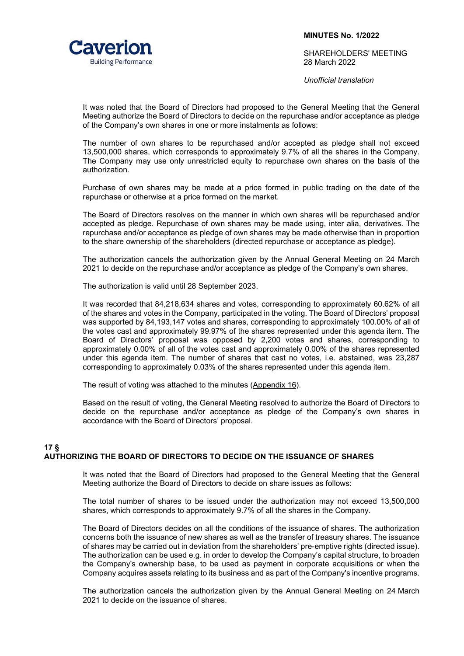

SHARFHOLDERS' MEETING 28 March 2022

*Unofficial translation*

It was noted that the Board of Directors had proposed to the General Meeting that the General Meeting authorize the Board of Directors to decide on the repurchase and/or acceptance as pledge of the Company's own shares in one or more instalments as follows:

The number of own shares to be repurchased and/or accepted as pledge shall not exceed 13,500,000 shares, which corresponds to approximately 9.7% of all the shares in the Company. The Company may use only unrestricted equity to repurchase own shares on the basis of the authorization.

Purchase of own shares may be made at a price formed in public trading on the date of the repurchase or otherwise at a price formed on the market.

The Board of Directors resolves on the manner in which own shares will be repurchased and/or accepted as pledge. Repurchase of own shares may be made using, inter alia, derivatives. The repurchase and/or acceptance as pledge of own shares may be made otherwise than in proportion to the share ownership of the shareholders (directed repurchase or acceptance as pledge).

The authorization cancels the authorization given by the Annual General Meeting on 24 March 2021 to decide on the repurchase and/or acceptance as pledge of the Company's own shares.

The authorization is valid until 28 September 2023.

It was recorded that 84,218,634 shares and votes, corresponding to approximately 60.62% of all of the shares and votes in the Company, participated in the voting. The Board of Directors' proposal was supported by 84,193,147 votes and shares, corresponding to approximately 100.00% of all of the votes cast and approximately 99.97% of the shares represented under this agenda item. The Board of Directors' proposal was opposed by 2,200 votes and shares, corresponding to approximately 0.00% of all of the votes cast and approximately 0.00% of the shares represented under this agenda item. The number of shares that cast no votes, i.e. abstained, was 23,287 corresponding to approximately 0.03% of the shares represented under this agenda item.

The result of voting was attached to the minutes (Appendix 16).

Based on the result of voting, the General Meeting resolved to authorize the Board of Directors to decide on the repurchase and/or acceptance as pledge of the Company's own shares in accordance with the Board of Directors' proposal.

### **17 § AUTHORIZING THE BOARD OF DIRECTORS TO DECIDE ON THE ISSUANCE OF SHARES**

It was noted that the Board of Directors had proposed to the General Meeting that the General Meeting authorize the Board of Directors to decide on share issues as follows:

The total number of shares to be issued under the authorization may not exceed 13,500,000 shares, which corresponds to approximately 9.7% of all the shares in the Company.

The Board of Directors decides on all the conditions of the issuance of shares. The authorization concerns both the issuance of new shares as well as the transfer of treasury shares. The issuance of shares may be carried out in deviation from the shareholders' pre-emptive rights (directed issue). The authorization can be used e.g. in order to develop the Company's capital structure, to broaden the Company's ownership base, to be used as payment in corporate acquisitions or when the Company acquires assets relating to its business and as part of the Company's incentive programs.

The authorization cancels the authorization given by the Annual General Meeting on 24 March 2021 to decide on the issuance of shares.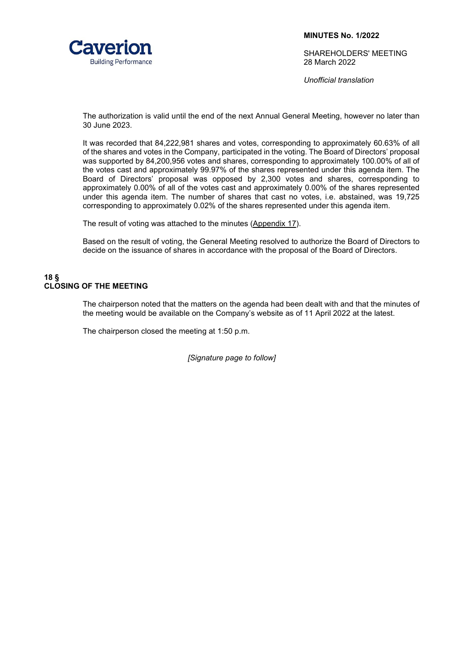

SHAREHOLDERS' MEETING 28 March 2022

*Unofficial translation*

The authorization is valid until the end of the next Annual General Meeting, however no later than 30 June 2023.

It was recorded that 84,222,981 shares and votes, corresponding to approximately 60.63% of all of the shares and votes in the Company, participated in the voting. The Board of Directors' proposal was supported by 84,200,956 votes and shares, corresponding to approximately 100.00% of all of the votes cast and approximately 99.97% of the shares represented under this agenda item. The Board of Directors' proposal was opposed by 2,300 votes and shares, corresponding to approximately 0.00% of all of the votes cast and approximately 0.00% of the shares represented under this agenda item. The number of shares that cast no votes, i.e. abstained, was 19,725 corresponding to approximately 0.02% of the shares represented under this agenda item.

The result of voting was attached to the minutes (Appendix 17).

Based on the result of voting, the General Meeting resolved to authorize the Board of Directors to decide on the issuance of shares in accordance with the proposal of the Board of Directors.

### **18 § CLOSING OF THE MEETING**

The chairperson noted that the matters on the agenda had been dealt with and that the minutes of the meeting would be available on the Company's website as of 11 April 2022 at the latest.

The chairperson closed the meeting at 1:50 p.m.

*[Signature page to follow]*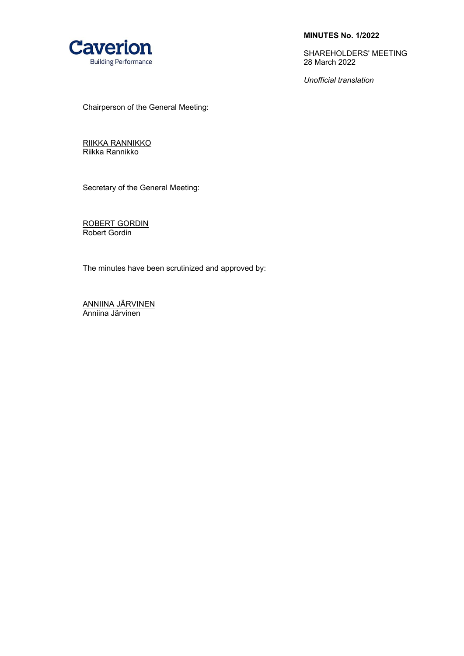

SHAREHOLDERS' MEETING 28 March 2022

*Unofficial translation*

Chairperson of the General Meeting:

RIIKKA RANNIKKO Riikka Rannikko

Secretary of the General Meeting:

ROBERT GORDIN Robert Gordin

The minutes have been scrutinized and approved by:

ANNIINA JÄRVINEN Anniina Järvinen